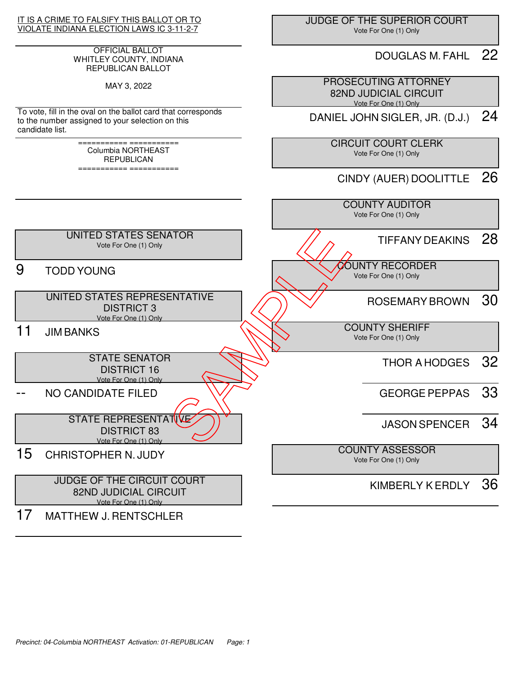

## OFFICIAL BALLOT WHITLEY COUNTY, INDIANA REPUBLICAN BALLOT

MAY 3, 2022

To vote, fill in the oval on the ballot card that corresponds to the number assigned to your selection on this candidate list.

> =========== =========== Columbia NORTHEAST REPUBLICAN

> =========== ===========

 JUDGE OF THE SUPERIOR COURT Vote For One (1) Only

## DOUGLAS M. FAHL 22

 PROSECUTING ATTORNEY 82ND JUDICIAL CIRCUIT Vote For One (1) Only

DANIEL JOHN SIGLER, JR. (D.J.) 24

 CIRCUIT COURT CLERK Vote For One (1) Only

CINDY (AUER) DOOLITTLE 26

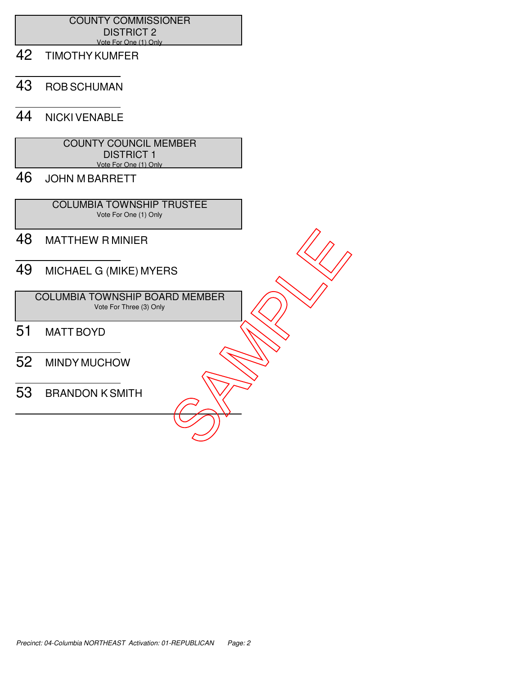## COUNTY COMMISSIONER DISTRICT 2 Vote For One (1) Only

- 42 TIMOTHY KUMFER
- 43 ROB SCHUMAN
- 44 NICKI VENABLE

| <b>COUNTY COUNCIL MEMBER</b> |
|------------------------------|
| DISTRICT 1                   |
| Vote For One (1) Only        |

46 JOHN M BARRETT

 COLUMBIA TOWNSHIP TRUSTEE Vote For One (1) Only

- 48 MATTHEW R MINIER
- 49 MICHAEL G (MIKE) MYERS

 COLUMBIA TOWNSHIP BOARD MEMBER Vote For Three (3) Only 48 MATTHEW RMINIER<br>
49 MICHAEL G (MIKE) MYERS<br>
COLUMBIA TOWNSHIP BOARD MEMBER<br>
51 MATT BOYD<br>
52 MINDY MUCHOW<br>
53 BRANDON K SMITH

- 51 MATT BOYD
- 52 MINDY MUCHOW
-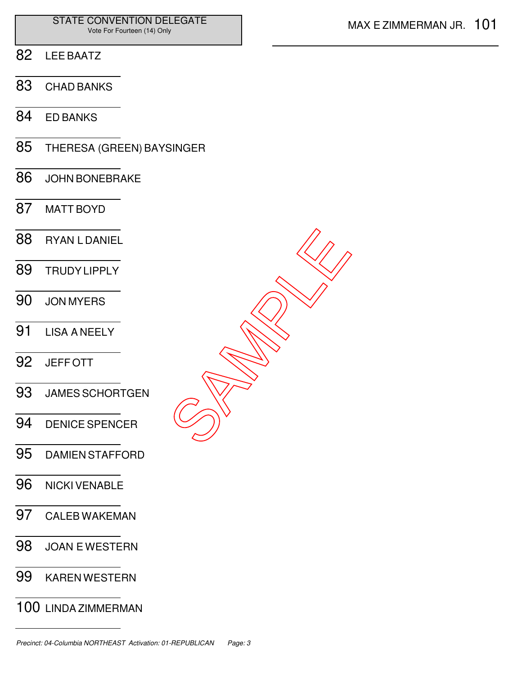- LEE BAATZ
- CHAD BANKS
- ED BANKS
- THERESA (GREEN) BAYSINGER
- JOHN BONEBRAKE
- MATT BOYD
- RYAN L DANIEL TRUDY LIPPLY JON MYERS LISA A NEELY JEFF OTT JAMES SCHORTGEN DENICE SPENCER DAMIEN STAFFORD SAMPLE<br>SAMPLE
- NICKI VENABLE
- CALEB WAKEMAN
- JOAN E WESTERN
- KAREN WESTERN
- LINDA ZIMMERMAN

Precinct: 04-Columbia NORTHEAST Activation: 01-REPUBLICAN Page: 3